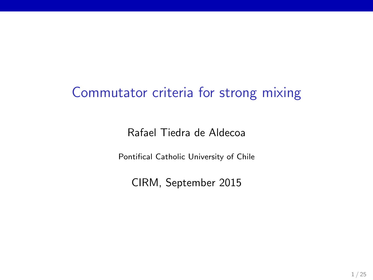### Commutator criteria for strong mixing

Rafael Tiedra de Aldecoa

Pontifical Catholic University of Chile

CIRM, September 2015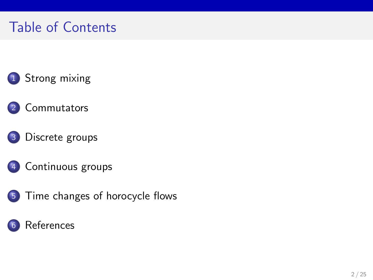# Table of Contents

- [Strong mixing](#page-2-0)
- [Commutators](#page-5-0)
- [Discrete groups](#page-8-0)
- [Continuous groups](#page-14-0)
- [Time changes of horocycle flows](#page-16-0)

#### **[References](#page-24-0)**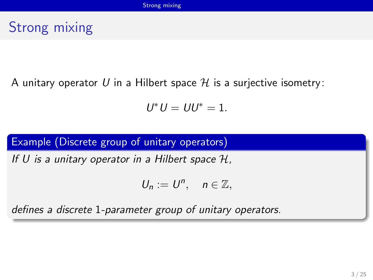# <span id="page-2-0"></span>Strong mixing

A unitary operator U in a Hilbert space  $\mathcal H$  is a surjective isometry:

$$
U^*U=UU^*=1.
$$

#### Example (Discrete group of unitary operators)

If U is a unitary operator in a Hilbert space  $H$ ,

$$
U_n:=U^n,\quad n\in\mathbb{Z},
$$

defines a discrete 1-parameter group of unitary operators.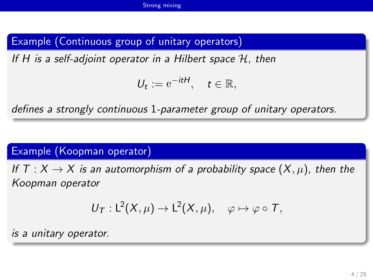#### <span id="page-3-0"></span>Example (Continuous group of unitary operators)

If H is a self-adjoint operator in a Hilbert space  $\mathcal{H}$ , then

$$
U_t := e^{-itH}, \quad t \in \mathbb{R},
$$

defines a strongly continuous 1-parameter group of unitary operators.

#### Example (Koopman operator)

If T :  $X \to X$  is an automorphism of a probability space  $(X, \mu)$ , then the Koopman operator

$$
U_T: L^2(X,\mu) \to L^2(X,\mu), \quad \varphi \mapsto \varphi \circ T,
$$

is a unitary operator.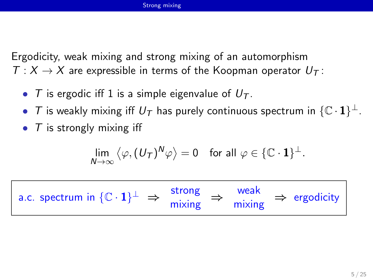<span id="page-4-0"></span>Ergodicity, weak mixing and strong mixing of an automorphism  $T: X \to X$  are expressible in terms of the Koopman operator  $U_T$ :

- T is ergodic iff 1 is a simple eigenvalue of  $U_T$ .
- $\bullet$   $\mathcal T$  is weakly mixing iff  $U_{\mathcal T}$  has purely continuous spectrum in  $\{\mathbb C \cdot \mathbf{1}\}^\perp$ .
- $\bullet$  T is strongly mixing iff

$$
\lim_{N\to\infty}\langle\varphi,(U_{\mathcal{T}})^N\varphi\rangle=0\quad\text{for all }\varphi\in\{\mathbb{C}\cdot\mathbf{1}\}^\perp.
$$

| a.c. spectrum in $\{C \cdot 1\}^{\perp} \Rightarrow \frac{\text{strong}}{\text{mixing}} \Rightarrow \frac{\text{weak}}{\text{mixing}} \Rightarrow \text{ergodicity}$ | strong | weak |  |  |
|----------------------------------------------------------------------------------------------------------------------------------------------------------------------|--------|------|--|--|
|----------------------------------------------------------------------------------------------------------------------------------------------------------------------|--------|------|--|--|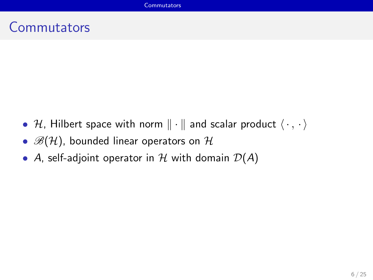### <span id="page-5-0"></span>**Commutators**

- H, Hilbert space with norm  $\|\cdot\|$  and scalar product  $\langle \cdot, \cdot \rangle$
- $\mathscr{B}(H)$ , bounded linear operators on  $\mathcal{H}$
- A, self-adjoint operator in  $H$  with domain  $D(A)$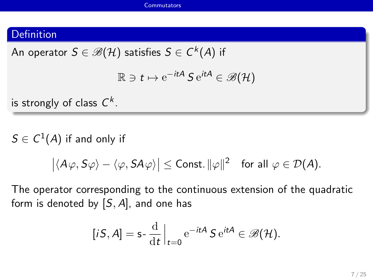#### <span id="page-6-0"></span>Definition

An operator  $S\in \mathscr{B}(\mathcal{H})$  satisfies  $S\in \mathsf{C}^k(A)$  if

$$
\mathbb{R} \ni t \mapsto e^{-itA} \mathcal{S} e^{itA} \in \mathscr{B}(\mathcal{H})
$$

is strongly of class  $\mathsf{\mathcal{C}}^{\mathsf{k}}.$ 

 $\mathcal{S}\in\mathcal{C}^1(A)$  if and only if

$$
\big|\langle A\varphi,S\varphi\rangle-\langle\varphi,SA\varphi\rangle\big|\leq{\rm Const.}\|\varphi\|^2\quad\text{for all }\varphi\in\mathcal{D}(A).
$$

The operator corresponding to the continuous extension of the quadratic form is denoted by  $[S, A]$ , and one has

$$
[iS, A] = \mathsf{s} - \frac{\mathrm{d}}{\mathrm{d}t}\Big|_{t=0} e^{-itA} S e^{itA} \in \mathscr{B}(\mathcal{H}).
$$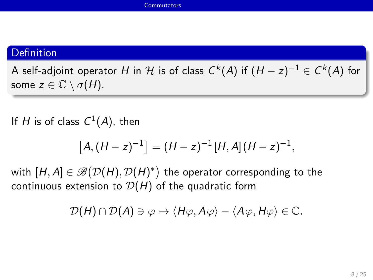#### <span id="page-7-0"></span>Definition

A self-adjoint operator  $H$  in  ${\mathcal H}$  is of class  $C^k(A)$  if  $(H-z)^{-1}\in C^k(A)$  for some  $z \in \mathbb{C} \setminus \sigma(H)$ .

If H is of class  $C^1(A)$ , then

$$
[A,(H-z)^{-1}]=(H-z)^{-1}[H,A](H-z)^{-1},
$$

with  $[H,A]\in\mathscr{B}\big(\mathcal{D}(H),\mathcal{D}(H)^*\big)$  the operator corresponding to the continuous extension to  $D(H)$  of the quadratic form

$$
\mathcal{D}(H) \cap \mathcal{D}(A) \ni \varphi \mapsto \langle H\varphi, A\varphi \rangle - \langle A\varphi, H\varphi \rangle \in \mathbb{C}.
$$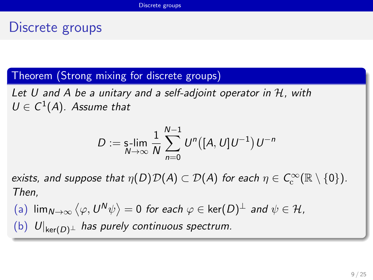## <span id="page-8-0"></span>Discrete groups

Theorem (Strong mixing for discrete groups)

Let  $U$  and  $A$  be a unitary and a self-adjoint operator in  $H$ , with  $U \in C^1(A)$ . Assume that

$$
D := \mathop{\sf s-lim}_{N \to \infty} \frac{1}{N} \sum_{n=0}^{N-1} U^n([A, U]U^{-1}) U^{-n}
$$

exists, and suppose that  $\eta(D)\mathcal{D}(A)\subset\mathcal{D}(A)$  for each  $\eta\in \mathcal{C}^\infty_\mathrm{c}(\mathbb{R}\setminus\{0\}).$ Then,

 $\mathsf{dim}_{\mathsf{N}\rightarrow\infty}\left\langle \varphi,\mathsf{U}^{\mathsf{N}}\psi\right\rangle =0$  for each  $\varphi\in\mathsf{ker}(\mathsf{D})^{\perp}$  and  $\psi\in\mathcal{H}$ , (b)  $U|_{\text{ker}(D)^{\perp}}$  has purely continuous spectrum.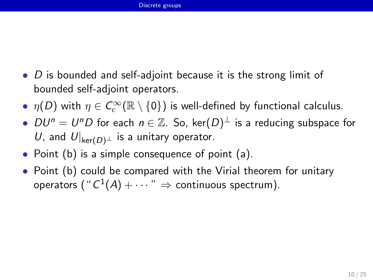- <span id="page-9-0"></span>•  $D$  is bounded and self-adjoint because it is the strong limit of bounded self-adjoint operators.
- $\eta(D)$  with  $\eta \in C^\infty_{\rm c}({\mathbb R} \setminus \{0\})$  is well-defined by functional calculus.
- $DU^n=U^nD$  for each  $n\in\mathbb{Z}$ . So, ker $(D)^\perp$  is a reducing subspace for U, and  $U|_{\text{ker}(D)^{\perp}}$  is a unitary operator.
- Point (b) is a simple consequence of point (a).
- Point (b) could be compared with the Virial theorem for unitary operators  $( \text{`` } C^1(\mathcal{A}) + \cdots \text{''} \, \Rightarrow \, \text{continuous spectrum}).$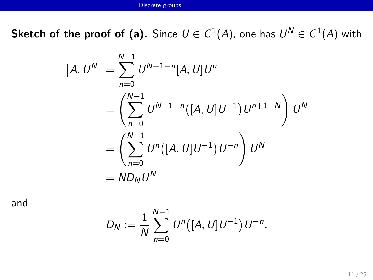<span id="page-10-0"></span> ${\sf Sketch\,\, of\,\, the\,\, proof\,\, of\,\, (a).}$  Since  $U\in C^1(A),$  one has  $U^N\in C^1(A)$  with

$$
[A, U^N] = \sum_{n=0}^{N-1} U^{N-1-n}[A, U]U^n
$$
  
= 
$$
\left(\sum_{n=0}^{N-1} U^{N-1-n}([A, U]U^{-1}) U^{n+1-N}\right) U^N
$$
  
= 
$$
\left(\sum_{n=0}^{N-1} U^n([A, U]U^{-1}) U^{-n}\right) U^N
$$
  
= 
$$
ND_N U^N
$$

and

$$
D_N := \frac{1}{N} \sum_{n=0}^{N-1} U^n([A, U]U^{-1}) U^{-n}.
$$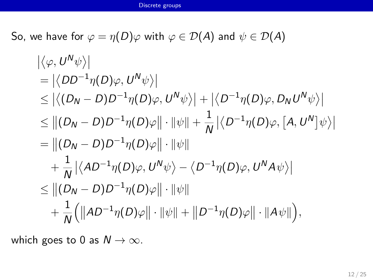<span id="page-11-0"></span>So, we have for  $\varphi = \eta(D)\varphi$  with  $\varphi \in \mathcal{D}(A)$  and  $\psi \in \mathcal{D}(A)$ 

$$
\begin{aligned}\n&|\langle \varphi, U^N \psi \rangle| \\
&= |\langle DD^{-1} \eta(D) \varphi, U^N \psi \rangle| \\
&\leq |\langle (D_N - D)D^{-1} \eta(D) \varphi, U^N \psi \rangle| + |\langle D^{-1} \eta(D) \varphi, D_N U^N \psi \rangle| \\
&\leq ||(D_N - D)D^{-1} \eta(D) \varphi|| \cdot ||\psi|| + \frac{1}{N} |\langle D^{-1} \eta(D) \varphi, [A, U^N] \psi \rangle| \\
&= ||(D_N - D)D^{-1} \eta(D) \varphi|| \cdot ||\psi|| \\
&+ \frac{1}{N} |\langle AD^{-1} \eta(D) \varphi, U^N \psi \rangle - \langle D^{-1} \eta(D) \varphi, U^N A \psi \rangle| \\
&\leq ||(D_N - D)D^{-1} \eta(D) \varphi|| \cdot ||\psi|| \\
&+ \frac{1}{N} (||AD^{-1} \eta(D) \varphi|| \cdot ||\psi|| + ||D^{-1} \eta(D) \varphi|| \cdot ||A \psi||),\n\end{aligned}
$$

which goes to 0 as  $N \to \infty$ .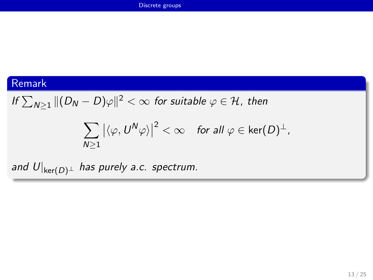#### <span id="page-12-0"></span>Remark

If 
$$
\sum_{N\geq 1} ||(D_N - D)\varphi||^2 < \infty
$$
 for suitable  $\varphi \in \mathcal{H}$ , then

$$
\sum_{N\geq 1} \big|\langle \varphi, U^N \varphi\rangle\big|^2 < \infty \quad \text{for all } \varphi \in \ker(D)^{\perp},
$$

and  $U|_{\text{ker}(D)^{\perp}}$  has purely a.c. spectrum.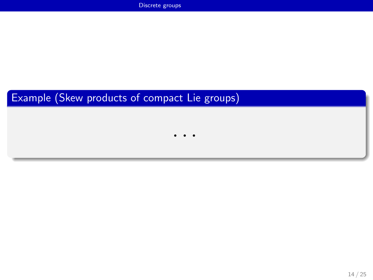### <span id="page-13-0"></span>Example (Skew products of compact Lie groups)

· · ·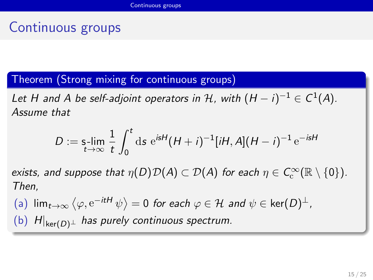# <span id="page-14-0"></span>Continuous groups

Theorem (Strong mixing for continuous groups)

Let H and A be self-adjoint operators in H, with  $(H - i)^{-1} \in C^1(A)$ . Assume that

$$
D := \mathsf{s}\text{-}\!\!\lim_{t \to \infty} \frac{1}{t} \int_0^t \mathrm{d} s \, \mathrm{e}^{isH} (H + i)^{-1} [iH, A](H - i)^{-1} \, \mathrm{e}^{-isH}
$$

exists, and suppose that  $\eta(D)\mathcal{D}(A)\subset\mathcal{D}(A)$  for each  $\eta\in \mathcal{C}^\infty_\mathrm{c}(\mathbb{R}\setminus\{0\}).$ Then,

 $\mathsf{dim}_{\mathsf{t}\to\infty}\,\big\langle\varphi,\mathop{\mathrm{e}}\nolimits^{-it\mathsf{H}}\psi\big\rangle=0$  for each  $\varphi\in\mathcal{H}$  and  $\psi\in\ker(D)^\perp$  , (b)  $H|_{\text{ker}(D)^{\perp}}$  has purely continuous spectrum.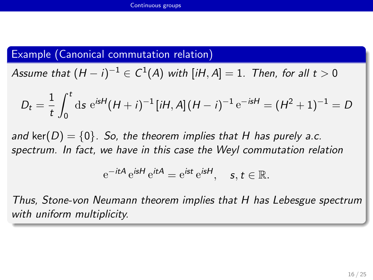#### <span id="page-15-0"></span>Example (Canonical commutation relation)

Assume that  $(H-i)^{-1}\in C^1(A)$  with  $[iH,A]=1.$  Then, for all  $t>0$ 

$$
D_t = \frac{1}{t} \int_0^t \mathrm{d}s \; \mathrm{e}^{isH} (H + i)^{-1} [iH, A] (H - i)^{-1} \mathrm{e}^{-isH} = (H^2 + 1)^{-1} = D
$$

and ker( $D$ ) = {0}. So, the theorem implies that H has purely a.c. spectrum. In fact, we have in this case the Weyl commutation relation

$$
e^{-itA} e^{isH} e^{itA} = e^{ist} e^{isH}, \quad s, t \in \mathbb{R}.
$$

Thus, Stone-von Neumann theorem implies that H has Lebesgue spectrum with uniform multiplicity.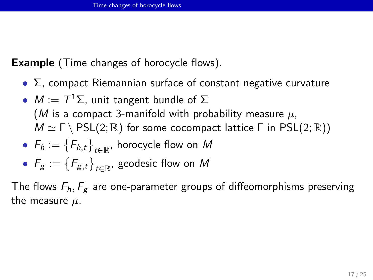<span id="page-16-0"></span>**Example** (Time changes of horocycle flows).

- $\Sigma$ , compact Riemannian surface of constant negative curvature
- $M := T^1\Sigma$ , unit tangent bundle of  $\Sigma$ (M is a compact 3-manifold with probability measure  $\mu$ ,  $M \simeq \Gamma \setminus \text{PSL}(2; \mathbb{R})$  for some cocompact lattice  $\Gamma$  in PSL(2;  $\mathbb{R}$ ))
- $\bullet$   $\mathsf{F}_h := \big\{ \mathsf{F}_{h,t} \big\}_{t \in \mathbb{R}}$ , horocycle flow on  $M$

• 
$$
F_g := \{F_{g,t}\}_{t \in \mathbb{R}}
$$
, geodesic flow on M

The flows  $F_h$ ,  $F_g$  are one-parameter groups of diffeomorphisms preserving the measure  $\mu$ .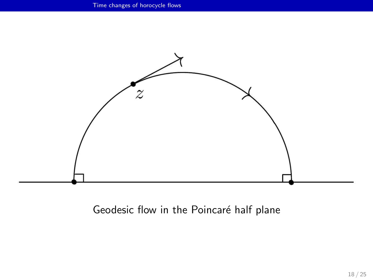<span id="page-17-0"></span>

Geodesic flow in the Poincaré half plane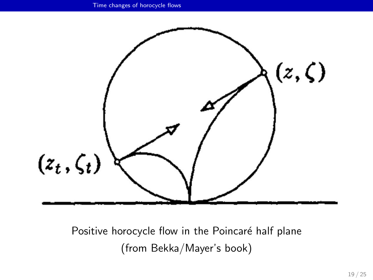<span id="page-18-0"></span>

Positive horocycle flow in the Poincaré half plane (from Bekka/Mayer's book)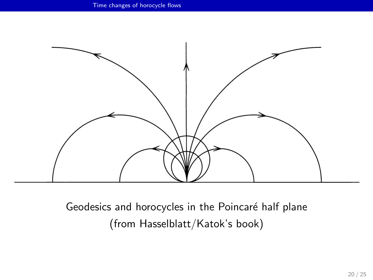<span id="page-19-0"></span>

Geodesics and horocycles in the Poincaré half plane (from Hasselblatt/Katok's book)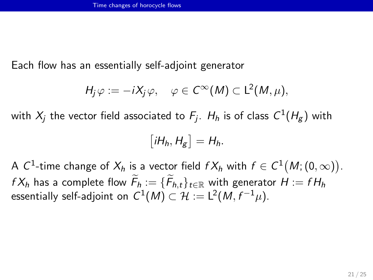<span id="page-20-0"></span>Each flow has an essentially self-adjoint generator

$$
H_j \varphi := -iX_j \varphi, \quad \varphi \in C^{\infty}(M) \subset L^2(M, \mu),
$$

with  $X_j$  the vector field associated to  $\mathcal{F}_j$ .  $H_h$  is of class  $\mathcal{C}^1(H_g)$  with

$$
[iH_h, H_g] = H_h.
$$

A  $\mathcal{C}^1$ -time change of  $X_h$  is a vector field  $fX_h$  with  $f\in\mathcal{C}^1\big(M;(0,\infty)\big).$  $fX_h$  has a complete flow  $F_h := \{F_{h,t}\}_{t \in \mathbb{R}}$  with generator  $H := fH_h$ essentially self-adjoint on  $\mathsf{C}^1(\mathsf{M})\subset \mathcal{H}:=\mathsf{L}^2(\mathsf{M},f^{-1}\mu).$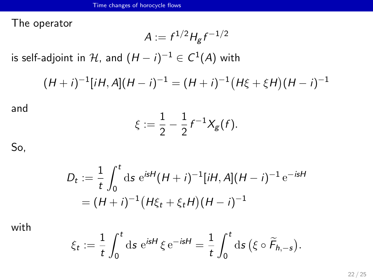<span id="page-21-0"></span>The operator

$$
A := f^{1/2} H_g f^{-1/2}
$$

is self-adjoint in  $\mathcal H$ , and  $(H-i)^{-1} \in \mathcal C^1(\mathcal A)$  with

$$
(H+i)^{-1}[iH,A](H-i)^{-1} = (H+i)^{-1}(H\xi + \xi H)(H-i)^{-1}
$$

and

$$
\xi := \frac{1}{2} - \frac{1}{2} f^{-1} X_g(f).
$$

So,

$$
D_t := \frac{1}{t} \int_0^t ds \, e^{isH} (H + i)^{-1} [iH, A](H - i)^{-1} e^{-isH}
$$
  
=  $(H + i)^{-1} (H\xi_t + \xi_t H)(H - i)^{-1}$ 

with

$$
\xi_t := \frac{1}{t} \int_0^t \mathrm{d} s \, \,\mathrm{e}^{isH} \, \xi \, \mathrm{e}^{-isH} = \frac{1}{t} \int_0^t \mathrm{d} s \, \big( \xi \circ \widetilde{F}_{h,-s} \big).
$$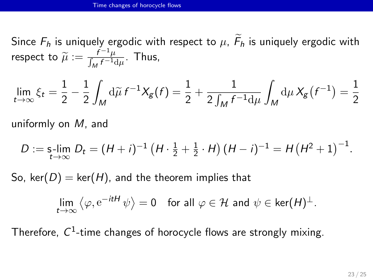<span id="page-22-0"></span>Since  $F_h$  is uniquely ergodic with respect to  $\mu$ ,  $F_h$  is uniquely ergodic with respect to  $\widetilde{\mu} := \frac{f^{-1}\mu}{\int_M f^{-1}(t)}$  $\frac{1}{\int_M f^{-1} d\mu}$ . Thus,

$$
\lim_{t \to \infty} \xi_t = \frac{1}{2} - \frac{1}{2} \int_M d\widetilde{\mu} f^{-1} X_g(f) = \frac{1}{2} + \frac{1}{2 \int_M f^{-1} d\mu} \int_M d\mu X_g(f^{-1}) = \frac{1}{2}
$$

uniformly on M, and

$$
D := \mathop{\text{s-lim}}_{t \to \infty} D_t = (H + i)^{-1} \left( H \cdot \frac{1}{2} + \frac{1}{2} \cdot H \right) (H - i)^{-1} = H (H^2 + 1)^{-1}.
$$

So, ker(D) = ker(H), and the theorem implies that

$$
\lim_{t\to\infty}\left\langle \varphi,\mathrm{e}^{-itH}\,\psi\right\rangle=0\quad\text{for all }\varphi\in\mathcal H\text{ and }\psi\in\ker(H)^{\perp}.
$$

Therefore,  $C^1$ -time changes of horocycle flows are strongly mixing.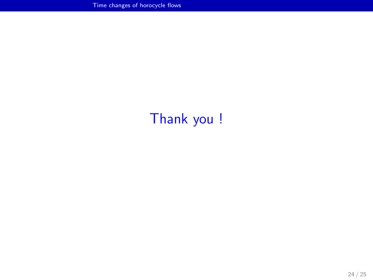# <span id="page-23-0"></span>Thank you !